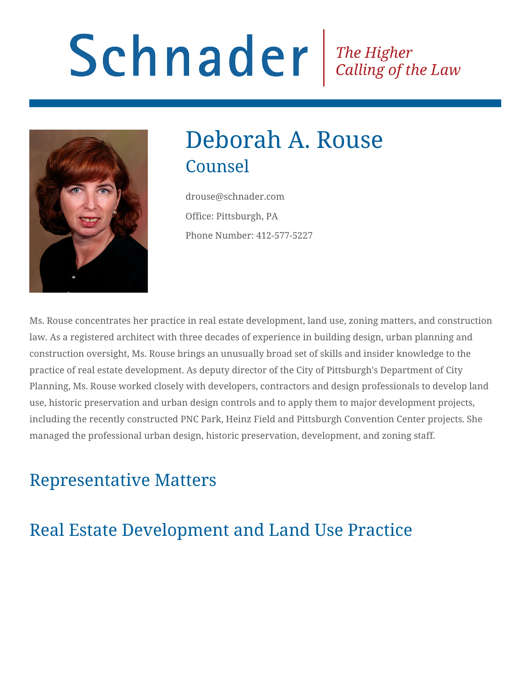# Schnader Fine Higher Calling of the Law



# Deborah A. Rouse Counsel

drouse@schnader.com Office: Pittsburgh, PA Phone Number: 412-577-5227

Ms. Rouse concentrates her practice in real estate development, land use, zoning matters, and construction law. As a registered architect with three decades of experience in building design, urban planning and construction oversight, Ms. Rouse brings an unusually broad set of skills and insider knowledge to the practice of real estate development. As deputy director of the City of Pittsburgh's Department of City Planning, Ms. Rouse worked closely with developers, contractors and design professionals to develop land use, historic preservation and urban design controls and to apply them to major development projects, including the recently constructed PNC Park, Heinz Field and Pittsburgh Convention Center projects. She managed the professional urban design, historic preservation, development, and zoning staff.

# Representative Matters

# Real Estate Development and Land Use Practice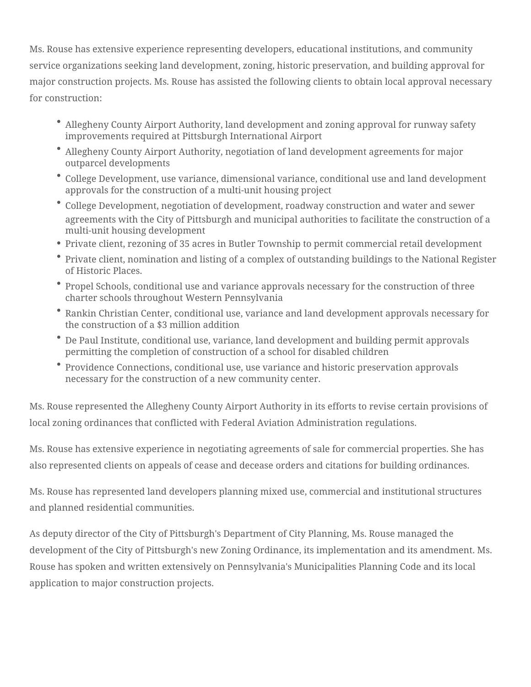Ms. Rouse has extensive experience representing developers, educational institutions, and community service organizations seeking land development, zoning, historic preservation, and building approval for major construction projects. Ms. Rouse has assisted the following clients to obtain local approval necessary for construction:

- Allegheny County Airport Authority, land development and zoning approval for runway safety improvements required at Pittsburgh International Airport
- Allegheny County Airport Authority, negotiation of land development agreements for major outparcel developments
- College Development, use variance, dimensional variance, conditional use and land development approvals for the construction of a multi-unit housing project
- College Development, negotiation of development, roadway construction and water and sewer agreements with the City of Pittsburgh and municipal authorities to facilitate the construction of a multi-unit housing development
- Private client, rezoning of 35 acres in Butler Township to permit commercial retail development
- Private client, nomination and listing of a complex of outstanding buildings to the National Register of Historic Places.
- Propel Schools, conditional use and variance approvals necessary for the construction of three charter schools throughout Western Pennsylvania
- Rankin Christian Center, conditional use, variance and land development approvals necessary for the construction of a \$3 million addition
- De Paul Institute, conditional use, variance, land development and building permit approvals permitting the completion of construction of a school for disabled children
- Providence Connections, conditional use, use variance and historic preservation approvals necessary for the construction of a new community center.

Ms. Rouse represented the Allegheny County Airport Authority in its efforts to revise certain provisions of local zoning ordinances that conflicted with Federal Aviation Administration regulations.

Ms. Rouse has extensive experience in negotiating agreements of sale for commercial properties. She has also represented clients on appeals of cease and decease orders and citations for building ordinances.

Ms. Rouse has represented land developers planning mixed use, commercial and institutional structures and planned residential communities.

As deputy director of the City of Pittsburgh's Department of City Planning, Ms. Rouse managed the development of the City of Pittsburgh's new Zoning Ordinance, its implementation and its amendment. Ms. Rouse has spoken and written extensively on Pennsylvania's Municipalities Planning Code and its local application to major construction projects.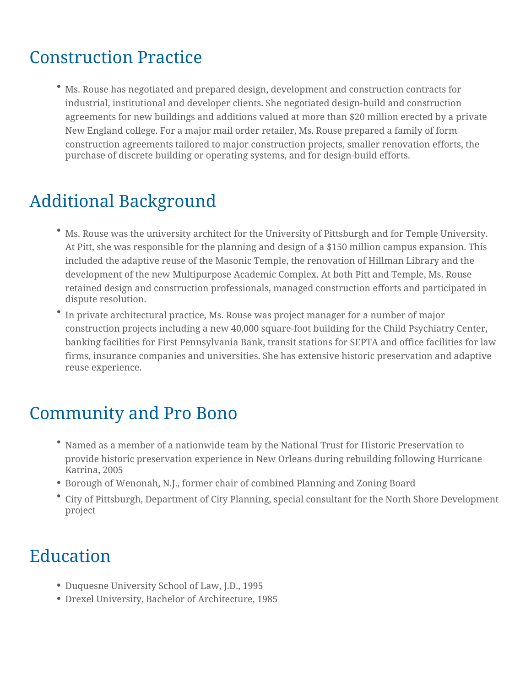### Construction Practice

Ms. Rouse has negotiated and prepared design, development and construction contracts for industrial, institutional and developer clients. She negotiated design-build and construction agreements for new buildings and additions valued at more than \$20 million erected by a private New England college. For a major mail order retailer, Ms. Rouse prepared a family of form construction agreements tailored to major construction projects, smaller renovation efforts, the purchase of discrete building or operating systems, and for design-build efforts.

# Additional Background

- Ms. Rouse was the university architect for the University of Pittsburgh and for Temple University. At Pitt, she was responsible for the planning and design of a \$150 million campus expansion. This included the adaptive reuse of the Masonic Temple, the renovation of Hillman Library and the development of the new Multipurpose Academic Complex. At both Pitt and Temple, Ms. Rouse retained design and construction professionals, managed construction efforts and participated in dispute resolution.
- In private architectural practice, Ms. Rouse was project manager for a number of major construction projects including a new 40,000 square-foot building for the Child Psychiatry Center, banking facilities for First Pennsylvania Bank, transit stations for SEPTA and office facilities for law firms, insurance companies and universities. She has extensive historic preservation and adaptive reuse experience.

#### Community and Pro Bono

- Named as a member of a nationwide team by the National Trust for Historic Preservation to provide historic preservation experience in New Orleans during rebuilding following Hurricane Katrina, 2005
- Borough of Wenonah, N.J., former chair of combined Planning and Zoning Board
- City of Pittsburgh, Department of City Planning, special consultant for the North Shore Development project

## Education

- Duquesne University School of Law, J.D., 1995
- Drexel University, Bachelor of Architecture, 1985